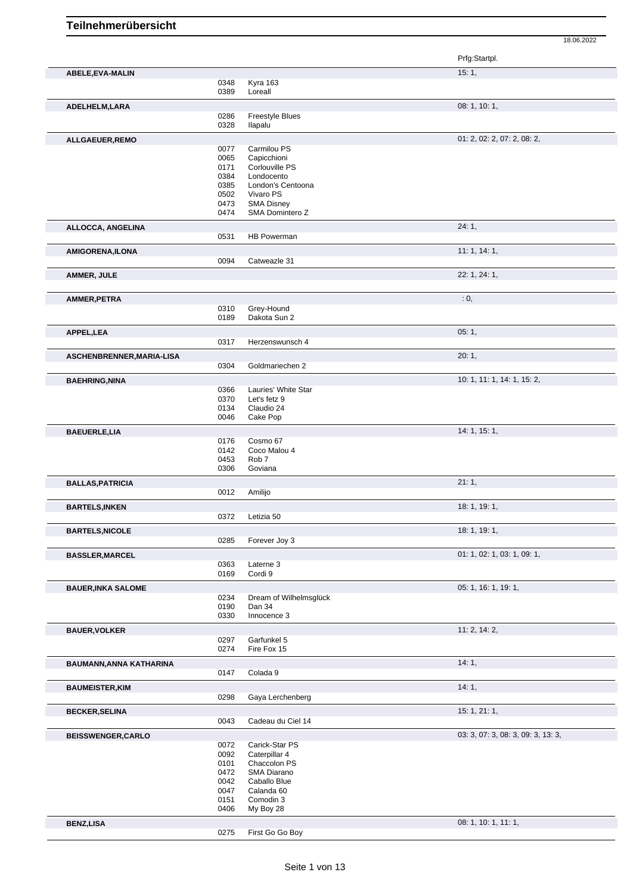|                           |              |                                     | 18.06.2022                         |
|---------------------------|--------------|-------------------------------------|------------------------------------|
|                           |              |                                     | Prfg:Startpl.                      |
| ABELE, EVA-MALIN          |              |                                     | 15:1,                              |
|                           | 0348<br>0389 | Kyra 163<br>Loreall                 |                                    |
|                           |              |                                     | 08: 1, 10: 1,                      |
| ADELHELM, LARA            | 0286         | Freestyle Blues                     |                                    |
|                           | 0328         | Ilapalu                             |                                    |
| ALLGAEUER, REMO           |              |                                     | 01: 2, 02: 2, 07: 2, 08: 2,        |
|                           | 0077         | Carmilou PS                         |                                    |
|                           | 0065         | Capicchioni                         |                                    |
|                           | 0171<br>0384 | Corlouville PS<br>Londocento        |                                    |
|                           | 0385         | London's Centoona                   |                                    |
|                           | 0502         | Vivaro PS                           |                                    |
|                           | 0473         | <b>SMA Disney</b>                   |                                    |
|                           | 0474         | SMA Domintero Z                     |                                    |
| ALLOCCA, ANGELINA         | 0531         | HB Powerman                         | 24:1,                              |
|                           |              |                                     |                                    |
| <b>AMIGORENA, ILONA</b>   | 0094         | Catweazle 31                        | 11: 1, 14: 1,                      |
|                           |              |                                     | 22: 1, 24: 1,                      |
| AMMER, JULE               |              |                                     |                                    |
| AMMER, PETRA              |              |                                     | : 0,                               |
|                           | 0310         | Grey-Hound                          |                                    |
|                           | 0189         | Dakota Sun 2                        |                                    |
| APPEL,LEA                 |              |                                     | 05:1,                              |
|                           | 0317         | Herzenswunsch 4                     |                                    |
| ASCHENBRENNER, MARIA-LISA |              |                                     | 20:1,                              |
|                           | 0304         | Goldmariechen 2                     |                                    |
| <b>BAEHRING, NINA</b>     |              |                                     | 10: 1, 11: 1, 14: 1, 15: 2,        |
|                           | 0366<br>0370 | Lauries' White Star<br>Let's fetz 9 |                                    |
|                           | 0134         | Claudio 24                          |                                    |
|                           | 0046         | Cake Pop                            |                                    |
| <b>BAEUERLE,LIA</b>       |              |                                     | 14: 1, 15: 1,                      |
|                           | 0176         | Cosmo 67                            |                                    |
|                           | 0142         | Coco Malou 4                        |                                    |
|                           | 0453<br>0306 | Rob <sub>7</sub><br>Goviana         |                                    |
|                           |              |                                     |                                    |
| <b>BALLAS, PATRICIA</b>   | 0012         | Amilijo                             | 21:1,                              |
|                           |              |                                     |                                    |
| <b>BARTELS, INKEN</b>     | 0372         | Letizia 50                          | 18: 1, 19: 1,                      |
|                           |              |                                     | 18: 1, 19: 1,                      |
| <b>BARTELS, NICOLE</b>    | 0285         | Forever Joy 3                       |                                    |
|                           |              |                                     | 01: 1, 02: 1, 03: 1, 09: 1,        |
| <b>BASSLER, MARCEL</b>    | 0363         | Laterne 3                           |                                    |
|                           | 0169         | Cordi 9                             |                                    |
| <b>BAUER, INKA SALOME</b> |              |                                     | 05: 1, 16: 1, 19: 1,               |
|                           | 0234         | Dream of Wilhelmsglück              |                                    |
|                           | 0190         | Dan 34                              |                                    |
|                           | 0330         | Innocence 3                         |                                    |
| <b>BAUER, VOLKER</b>      | 0297         | Garfunkel 5                         | 11:2, 14:2,                        |
|                           | 0274         | Fire Fox 15                         |                                    |
| BAUMANN, ANNA KATHARINA   |              |                                     | 14:1,                              |
|                           | 0147         | Colada 9                            |                                    |
| <b>BAUMEISTER, KIM</b>    |              |                                     | 14:1,                              |
|                           | 0298         | Gaya Lerchenberg                    |                                    |
| <b>BECKER, SELINA</b>     |              |                                     | 15:1, 21:1,                        |
|                           | 0043         | Cadeau du Ciel 14                   |                                    |
| <b>BEISSWENGER,CARLO</b>  |              |                                     | 03: 3, 07: 3, 08: 3, 09: 3, 13: 3, |
|                           | 0072         | Carick-Star PS                      |                                    |
|                           | 0092         | Caterpillar 4                       |                                    |
|                           | 0101<br>0472 | Chaccolon PS<br>SMA Diarano         |                                    |
|                           | 0042         | Caballo Blue                        |                                    |
|                           | 0047         | Calanda 60                          |                                    |
|                           | 0151         | Comodin 3                           |                                    |
|                           | 0406         | My Boy 28                           |                                    |
| <b>BENZ,LISA</b>          | 0275         | First Go Go Boy                     | 08: 1, 10: 1, 11: 1,               |
|                           |              |                                     |                                    |

First Go Go Boy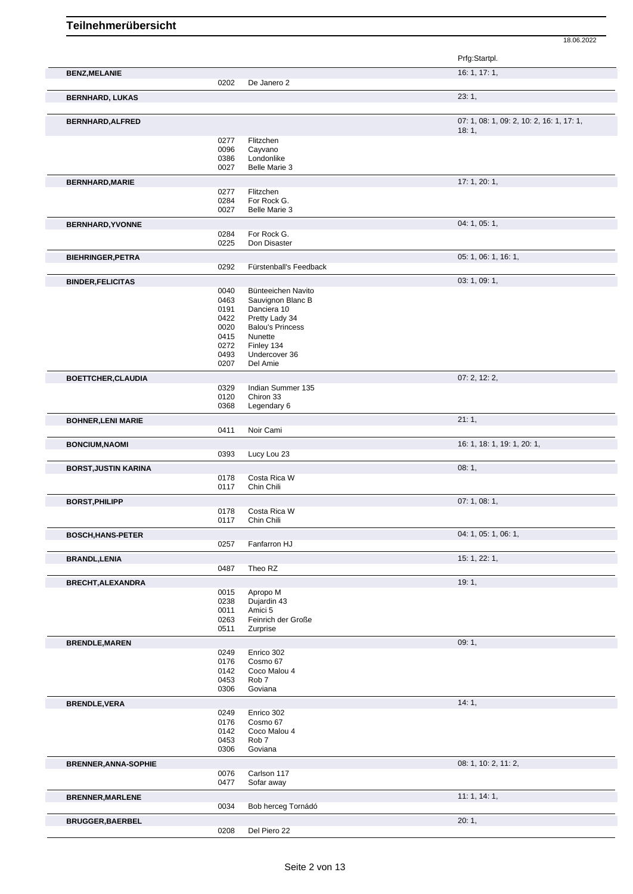|                             |              |                                  | 18.06.2022                                |  |
|-----------------------------|--------------|----------------------------------|-------------------------------------------|--|
|                             |              |                                  | Prfg:Startpl.                             |  |
| <b>BENZ, MELANIE</b>        |              |                                  | 16: 1, 17: 1,                             |  |
|                             | 0202         | De Janero 2                      |                                           |  |
| <b>BERNHARD, LUKAS</b>      |              |                                  | 23:1,                                     |  |
| BERNHARD, ALFRED            |              |                                  | 07: 1, 08: 1, 09: 2, 10: 2, 16: 1, 17: 1, |  |
|                             | 0277         | Flitzchen                        | 18:1,                                     |  |
|                             | 0096         | Cayvano                          |                                           |  |
|                             | 0386<br>0027 | Londonlike<br>Belle Marie 3      |                                           |  |
| <b>BERNHARD, MARIE</b>      |              |                                  | 17: 1, 20: 1,                             |  |
|                             | 0277         | Flitzchen                        |                                           |  |
|                             | 0284         | For Rock G.                      |                                           |  |
|                             | 0027         | Belle Marie 3                    |                                           |  |
| <b>BERNHARD, YVONNE</b>     |              |                                  | 04: 1, 05: 1,                             |  |
|                             | 0284<br>0225 | For Rock G.<br>Don Disaster      |                                           |  |
| <b>BIEHRINGER, PETRA</b>    |              |                                  | 05: 1, 06: 1, 16: 1,                      |  |
|                             | 0292         | Fürstenball's Feedback           |                                           |  |
| <b>BINDER, FELICITAS</b>    |              |                                  | 03: 1, 09: 1,                             |  |
|                             | 0040         | Bünteeichen Navito               |                                           |  |
|                             | 0463<br>0191 | Sauvignon Blanc B<br>Danciera 10 |                                           |  |
|                             | 0422         | Pretty Lady 34                   |                                           |  |
|                             | 0020         | <b>Balou's Princess</b>          |                                           |  |
|                             | 0415         | Nunette                          |                                           |  |
|                             | 0272<br>0493 | Finley 134<br>Undercover 36      |                                           |  |
|                             | 0207         | Del Amie                         |                                           |  |
| <b>BOETTCHER, CLAUDIA</b>   |              |                                  | 07: 2, 12: 2,                             |  |
|                             | 0329         | Indian Summer 135                |                                           |  |
|                             | 0120<br>0368 | Chiron 33<br>Legendary 6         |                                           |  |
|                             |              |                                  | 21:1,                                     |  |
| <b>BOHNER, LENI MARIE</b>   | 0411         | Noir Cami                        |                                           |  |
| <b>BONCIUM, NAOMI</b>       |              |                                  | 16: 1, 18: 1, 19: 1, 20: 1,               |  |
|                             | 0393         | Lucy Lou 23                      |                                           |  |
| <b>BORST, JUSTIN KARINA</b> |              |                                  | 08:1,                                     |  |
|                             | 0178         | Costa Rica W                     |                                           |  |
|                             | 0117         | Chin Chili                       |                                           |  |
| <b>BORST, PHILIPP</b>       |              | 0178 Costa Rica W                | 07: 1, 08: 1,                             |  |
|                             | 0117         | Chin Chili                       |                                           |  |
| <b>BOSCH, HANS-PETER</b>    |              |                                  | 04: 1, 05: 1, 06: 1,                      |  |
|                             | 0257         | Fanfarron HJ                     |                                           |  |
| <b>BRANDL, LENIA</b>        |              |                                  | 15: 1, 22: 1,                             |  |
|                             | 0487         | Theo RZ                          |                                           |  |
| <b>BRECHT, ALEXANDRA</b>    |              |                                  | 19:1,                                     |  |
|                             | 0015         | Apropo M                         |                                           |  |
|                             | 0238<br>0011 | Dujardin 43<br>Amici 5           |                                           |  |
|                             | 0263         | Feinrich der Große               |                                           |  |
|                             | 0511         | Zurprise                         |                                           |  |
| <b>BRENDLE, MAREN</b>       |              |                                  | 09:1,                                     |  |
|                             | 0249<br>0176 | Enrico 302<br>Cosmo 67           |                                           |  |
|                             | 0142         | Coco Malou 4                     |                                           |  |
|                             | 0453         | Rob <sub>7</sub>                 |                                           |  |
|                             | 0306         | Goviana                          |                                           |  |
| <b>BRENDLE, VERA</b>        |              |                                  | 14:1,                                     |  |
|                             | 0249<br>0176 | Enrico 302<br>Cosmo 67           |                                           |  |
|                             | 0142         | Coco Malou 4                     |                                           |  |
|                             | 0453         | Rob <sub>7</sub>                 |                                           |  |
|                             | 0306         | Goviana                          |                                           |  |
| <b>BRENNER, ANNA-SOPHIE</b> |              | Carlson 117                      | 08: 1, 10: 2, 11: 2,                      |  |
|                             | 0076<br>0477 | Sofar away                       |                                           |  |
| <b>BRENNER, MARLENE</b>     |              |                                  | 11:1, 14:1,                               |  |
|                             | 0034         | Bob herceg Tornádó               |                                           |  |
| <b>BRUGGER, BAERBEL</b>     |              |                                  | 20:1,                                     |  |
|                             | 0208         | Del Piero 22                     |                                           |  |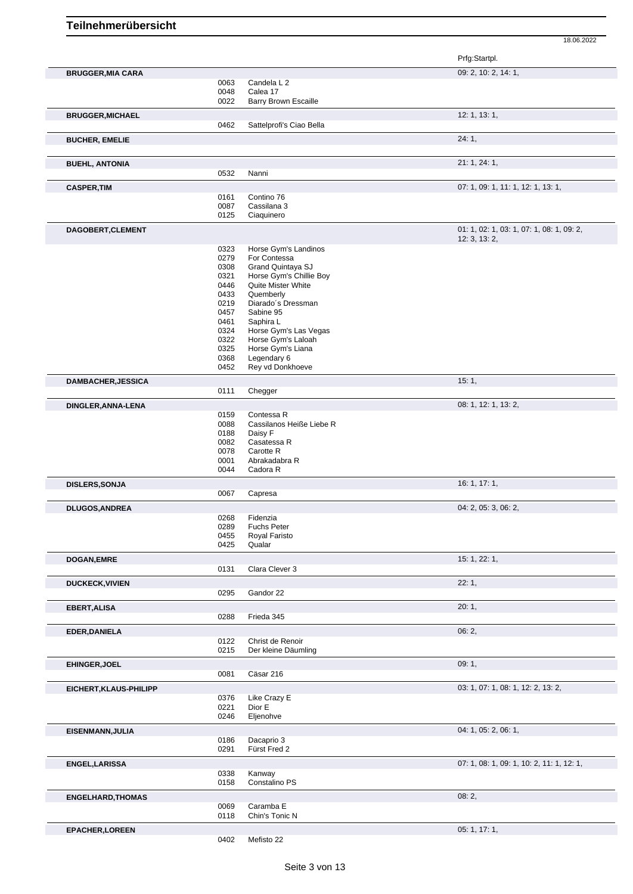|                          |              |                             | Prfg:Startpl.                                              |
|--------------------------|--------------|-----------------------------|------------------------------------------------------------|
| <b>BRUGGER, MIA CARA</b> |              |                             | 09: 2, 10: 2, 14: 1,                                       |
|                          | 0063         | Candela L 2                 |                                                            |
|                          | 0048         | Calea 17                    |                                                            |
|                          | 0022         | Barry Brown Escaille        |                                                            |
| <b>BRUGGER, MICHAEL</b>  |              |                             | 12: 1, 13: 1,                                              |
|                          | 0462         | Sattelprofi's Ciao Bella    |                                                            |
| <b>BUCHER, EMELIE</b>    |              |                             | 24:1,                                                      |
|                          |              |                             |                                                            |
| <b>BUEHL, ANTONIA</b>    |              |                             | 21: 1, 24: 1,                                              |
|                          | 0532         | Nanni                       |                                                            |
| <b>CASPER, TIM</b>       |              |                             | 07: 1, 09: 1, 11: 1, 12: 1, 13: 1,                         |
|                          | 0161         | Contino 76                  |                                                            |
|                          | 0087<br>0125 | Cassilana 3<br>Ciaquinero   |                                                            |
|                          |              |                             |                                                            |
| DAGOBERT, CLEMENT        |              |                             | 01: 1, 02: 1, 03: 1, 07: 1, 08: 1, 09: 2,<br>12: 3, 13: 2, |
|                          | 0323         | Horse Gym's Landinos        |                                                            |
|                          | 0279         | For Contessa                |                                                            |
|                          | 0308         | Grand Quintaya SJ           |                                                            |
|                          | 0321         | Horse Gym's Chillie Boy     |                                                            |
|                          | 0446         | Quite Mister White          |                                                            |
|                          | 0433         | Quemberly                   |                                                            |
|                          | 0219         | Diarado's Dressman          |                                                            |
|                          | 0457         | Sabine 95                   |                                                            |
|                          | 0461         | Saphira L                   |                                                            |
|                          | 0324         | Horse Gym's Las Vegas       |                                                            |
|                          | 0322         | Horse Gym's Laloah          |                                                            |
|                          | 0325         | Horse Gym's Liana           |                                                            |
|                          | 0368         | Legendary 6                 |                                                            |
|                          | 0452         | Rey vd Donkhoeve            |                                                            |
| DAMBACHER, JESSICA       | 0111         | Chegger                     | 15:1,                                                      |
|                          |              |                             |                                                            |
| DINGLER, ANNA-LENA       |              |                             | 08: 1, 12: 1, 13: 2,                                       |
|                          | 0159         | Contessa R                  |                                                            |
|                          | 0088         | Cassilanos Heiße Liebe R    |                                                            |
|                          | 0188         | Daisy F                     |                                                            |
|                          | 0082<br>0078 | Casatessa R<br>Carotte R    |                                                            |
|                          | 0001         | Abrakadabra R               |                                                            |
|                          | 0044         | Cadora R                    |                                                            |
| <b>DISLERS, SONJA</b>    |              |                             | 16: 1, 17: 1,                                              |
|                          | 0067         | Capresa                     |                                                            |
| <b>DLUGOS, ANDREA</b>    |              |                             | 04: 2, 05: 3, 06: 2,                                       |
|                          | 0268         | Fidenzia                    |                                                            |
|                          | 0289         | Fuchs Peter                 |                                                            |
|                          | 0455         | Royal Faristo               |                                                            |
|                          | 0425         | Qualar                      |                                                            |
| <b>DOGAN,EMRE</b>        |              |                             | 15: 1, 22: 1,                                              |
|                          | 0131         | Clara Clever 3              |                                                            |
| <b>DUCKECK, VIVIEN</b>   |              |                             | 22:1,                                                      |
|                          | 0295         | Gandor 22                   |                                                            |
| <b>EBERT, ALISA</b>      |              |                             | 20:1,                                                      |
|                          | 0288         | Frieda 345                  |                                                            |
| EDER, DANIELA            |              |                             | 06:2,                                                      |
|                          | 0122         | Christ de Renoir            |                                                            |
|                          | 0215         | Der kleine Däumling         |                                                            |
| EHINGER, JOEL            |              |                             | 09:1,                                                      |
|                          | 0081         | Cäsar 216                   |                                                            |
| EICHERT, KLAUS-PHILIPP   |              |                             | 03: 1, 07: 1, 08: 1, 12: 2, 13: 2,                         |
|                          | 0376         | Like Crazy E                |                                                            |
|                          | 0221         | Dior E                      |                                                            |
|                          | 0246         | Eljenohve                   |                                                            |
| EISENMANN, JULIA         |              |                             | 04: 1, 05: 2, 06: 1,                                       |
|                          | 0186         | Dacaprio 3                  |                                                            |
|                          | 0291         | Fürst Fred 2                |                                                            |
| <b>ENGEL, LARISSA</b>    |              |                             | 07: 1, 08: 1, 09: 1, 10: 2, 11: 1, 12: 1,                  |
|                          | 0338         | Kanway                      |                                                            |
|                          | 0158         | Constalino PS               |                                                            |
| <b>ENGELHARD, THOMAS</b> |              |                             | 08:2,                                                      |
|                          | 0069<br>0118 | Caramba E<br>Chin's Tonic N |                                                            |
|                          |              |                             |                                                            |
| <b>EPACHER, LOREEN</b>   |              |                             | 05: 1, 17: 1,                                              |
|                          | 0402         | Mefisto 22                  |                                                            |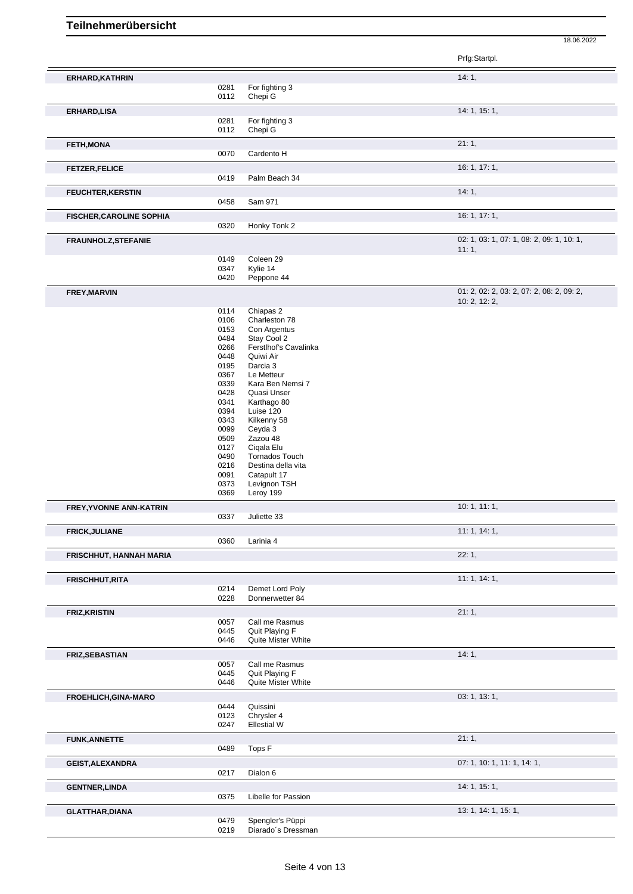|                                 |              |                                      | Prfg:Startpl.                             |
|---------------------------------|--------------|--------------------------------------|-------------------------------------------|
| ERHARD, KATHRIN                 |              |                                      | 14:1,                                     |
|                                 | 0281<br>0112 | For fighting 3<br>Chepi G            |                                           |
|                                 |              |                                      | 14: 1, 15: 1,                             |
| <b>ERHARD, LISA</b>             | 0281         | For fighting 3                       |                                           |
|                                 | 0112         | Chepi G                              |                                           |
| <b>FETH, MONA</b>               |              |                                      | 21:1,                                     |
|                                 | 0070         | Cardento H                           |                                           |
| <b>FETZER, FELICE</b>           |              |                                      | 16: 1, 17: 1,                             |
|                                 | 0419         | Palm Beach 34                        |                                           |
| <b>FEUCHTER, KERSTIN</b>        | 0458         | Sam 971                              | 14:1,                                     |
| <b>FISCHER, CAROLINE SOPHIA</b> |              |                                      | 16:1, 17:1,                               |
|                                 | 0320         | Honky Tonk 2                         |                                           |
| <b>FRAUNHOLZ, STEFANIE</b>      |              |                                      | 02: 1, 03: 1, 07: 1, 08: 2, 09: 1, 10: 1, |
|                                 |              |                                      | 11:1,                                     |
|                                 | 0149<br>0347 | Coleen 29<br>Kylie 14                |                                           |
|                                 | 0420         | Peppone 44                           |                                           |
| <b>FREY, MARVIN</b>             |              |                                      | 01: 2, 02: 2, 03: 2, 07: 2, 08: 2, 09: 2, |
|                                 |              |                                      | 10: 2, 12: 2,                             |
|                                 | 0114<br>0106 | Chiapas 2<br>Charleston 78           |                                           |
|                                 | 0153         | Con Argentus                         |                                           |
|                                 | 0484         | Stay Cool 2                          |                                           |
|                                 | 0266         | Ferstlhof's Cavalinka                |                                           |
|                                 | 0448         | Quiwi Air                            |                                           |
|                                 | 0195<br>0367 | Darcia 3<br>Le Metteur               |                                           |
|                                 | 0339         | Kara Ben Nemsi 7                     |                                           |
|                                 | 0428         | Quasi Unser                          |                                           |
|                                 | 0341         | Karthago 80                          |                                           |
|                                 | 0394         | Luise 120                            |                                           |
|                                 | 0343         | Kilkenny 58                          |                                           |
|                                 | 0099         | Ceyda 3                              |                                           |
|                                 | 0509<br>0127 | Zazou 48<br>Cigala Elu               |                                           |
|                                 | 0490         | Tornados Touch                       |                                           |
|                                 | 0216         | Destina della vita                   |                                           |
|                                 | 0091         | Catapult 17                          |                                           |
|                                 | 0373         | Levignon TSH                         |                                           |
|                                 | 0369         | Leroy 199                            |                                           |
| <b>FREY, YVONNE ANN-KATRIN</b>  | 0337         | Juliette 33                          | 10: 1, 11: 1,                             |
| <b>FRICK, JULIANE</b>           |              |                                      | 11:1, 14:1,                               |
|                                 | 0360         | Larinia 4                            |                                           |
| FRISCHHUT, HANNAH MARIA         |              |                                      | 22:1,                                     |
|                                 |              |                                      |                                           |
| <b>FRISCHHUT, RITA</b>          | 0214         | Demet Lord Poly                      | 11:1, 14:1,                               |
|                                 | 0228         | Donnerwetter 84                      |                                           |
| <b>FRIZ, KRISTIN</b>            |              |                                      | 21:1,                                     |
|                                 | 0057         | Call me Rasmus                       |                                           |
|                                 | 0445         | Quit Playing F<br>Quite Mister White |                                           |
|                                 | 0446         |                                      |                                           |
| <b>FRIZ, SEBASTIAN</b>          | 0057         | Call me Rasmus                       | 14:1,                                     |
|                                 | 0445         | Quit Playing F                       |                                           |
|                                 | 0446         | Quite Mister White                   |                                           |
| <b>FROEHLICH, GINA-MARO</b>     |              |                                      | 03: 1, 13: 1,                             |
|                                 | 0444         | Quissini                             |                                           |
|                                 | 0123         | Chrysler 4<br><b>Ellestial W</b>     |                                           |
|                                 | 0247         |                                      |                                           |
| <b>FUNK, ANNETTE</b>            | 0489         | Tops F                               | 21:1,                                     |
|                                 |              |                                      |                                           |
| <b>GEIST, ALEXANDRA</b>         | 0217         | Dialon 6                             | 07: 1, 10: 1, 11: 1, 14: 1,               |
| <b>GENTNER, LINDA</b>           |              |                                      | 14: 1, 15: 1,                             |
|                                 | 0375         | Libelle for Passion                  |                                           |
| <b>GLATTHAR, DIANA</b>          |              |                                      | 13: 1, 14: 1, 15: 1,                      |
|                                 | 0479         | Spengler's Püppi                     |                                           |
|                                 | 0219         | Diarado's Dressman                   |                                           |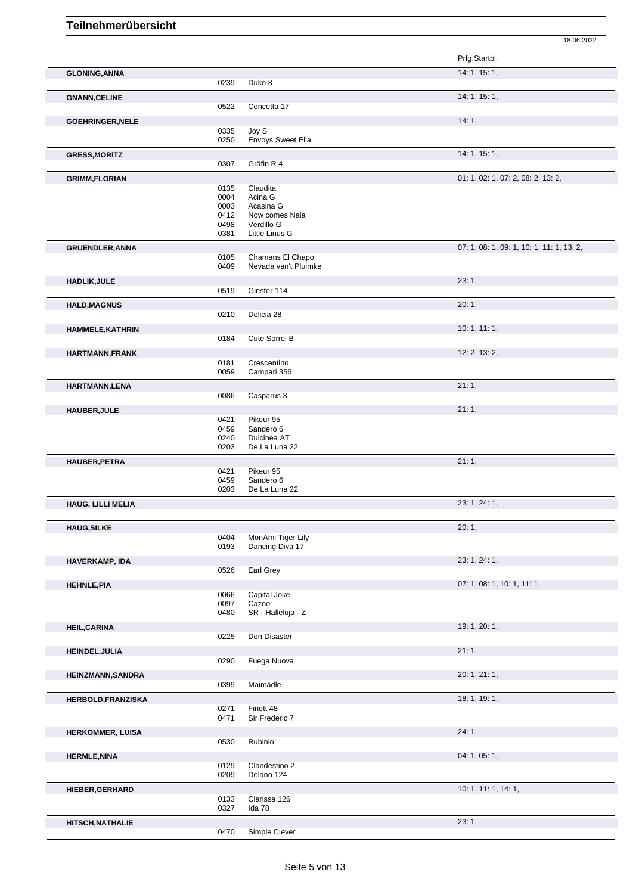|                          |              |                                          | Prfg:Startpl.                             |
|--------------------------|--------------|------------------------------------------|-------------------------------------------|
|                          |              |                                          | 14: 1, 15: 1,                             |
| <b>GLONING, ANNA</b>     | 0239         | Duko 8                                   |                                           |
|                          |              |                                          |                                           |
| <b>GNANN, CELINE</b>     | 0522         | Concetta 17                              | 14: 1, 15: 1,                             |
|                          |              |                                          | 14:1,                                     |
| <b>GOEHRINGER, NELE</b>  | 0335         | Joy S                                    |                                           |
|                          | 0250         | <b>Envoys Sweet Ella</b>                 |                                           |
| <b>GRESS, MORITZ</b>     |              |                                          | 14: 1, 15: 1,                             |
|                          | 0307         | Gräfin R 4                               |                                           |
| <b>GRIMM,FLORIAN</b>     |              |                                          | 01: 1, 02: 1, 07: 2, 08: 2, 13: 2,        |
|                          | 0135         | Claudita                                 |                                           |
|                          | 0004<br>0003 | Acina G<br>Acasina G                     |                                           |
|                          | 0412         | Now comes Nala                           |                                           |
|                          | 0498         | Verdillo G                               |                                           |
|                          | 0381         | Little Linus G                           |                                           |
| <b>GRUENDLER, ANNA</b>   |              |                                          | 07: 1, 08: 1, 09: 1, 10: 1, 11: 1, 13: 2, |
|                          | 0105<br>0409 | Chamans El Chapo<br>Nevada van't Pluimke |                                           |
|                          |              |                                          |                                           |
| <b>HADLIK, JULE</b>      | 0519         | Ginster 114                              | 23:1,                                     |
|                          |              |                                          |                                           |
| <b>HALD, MAGNUS</b>      | 0210         | Delicia 28                               | 20:1,                                     |
|                          |              |                                          |                                           |
| <b>HAMMELE, KATHRIN</b>  | 0184         | Cute Sorrel B                            | 10:1, 11:1,                               |
|                          |              |                                          |                                           |
| HARTMANN, FRANK          | 0181         | Crescentino                              | 12: 2, 13: 2,                             |
|                          | 0059         | Campari 356                              |                                           |
| HARTMANN,LENA            |              |                                          | 21:1,                                     |
|                          | 0086         | Casparus 3                               |                                           |
| <b>HAUBER, JULE</b>      |              |                                          | 21:1,                                     |
|                          | 0421         | Pikeur 95                                |                                           |
|                          | 0459         | Sandero 6                                |                                           |
|                          | 0240<br>0203 | Dulcinea AT<br>De La Luna 22             |                                           |
| <b>HAUBER, PETRA</b>     |              |                                          | 21:1,                                     |
|                          | 0421         | Pikeur 95                                |                                           |
|                          | 0459         | Sandero 6                                |                                           |
|                          | 0203         | De La Luna 22                            |                                           |
| HAUG, LILLI MELIA        |              |                                          | 23: 1, 24: 1,                             |
|                          |              |                                          |                                           |
| <b>HAUG, SILKE</b>       |              |                                          | 20:1,                                     |
|                          | 0404<br>0193 | MonAmi Tiger Lily<br>Dancing Diva 17     |                                           |
| HAVERKAMP, IDA           |              |                                          | 23: 1, 24: 1,                             |
|                          | 0526         | Earl Grey                                |                                           |
| <b>HEHNLE, PIA</b>       |              |                                          | 07: 1, 08: 1, 10: 1, 11: 1,               |
|                          | 0066         | Capital Joke                             |                                           |
|                          | 0097         | Cazoo                                    |                                           |
|                          | 0480         | SR - Halleluja - Z                       |                                           |
| <b>HEIL, CARINA</b>      |              |                                          | 19: 1, 20: 1,                             |
|                          | 0225         | Don Disaster                             |                                           |
| <b>HEINDEL, JULIA</b>    |              |                                          | 21:1,                                     |
|                          | 0290         | Fuega Nuova                              |                                           |
| <b>HEINZMANN, SANDRA</b> | 0399         | Maimädle                                 | 20: 1, 21: 1,                             |
|                          |              |                                          |                                           |
| HERBOLD, FRANZISKA       | 0271         | Finett 48                                | 18: 1, 19: 1,                             |
|                          | 0471         | Sir Frederic 7                           |                                           |
| <b>HERKOMMER, LUISA</b>  |              |                                          | 24:1,                                     |
|                          | 0530         | Rubinio                                  |                                           |
| <b>HERMLE, NINA</b>      |              |                                          | 04: 1, 05: 1,                             |
|                          | 0129         | Clandestino 2                            |                                           |
|                          | 0209         | Delano 124                               |                                           |
| HIEBER, GERHARD          |              |                                          | 10: 1, 11: 1, 14: 1,                      |

18.06.2022

0133 Clarissa 126<br>0327 Ida 78 Ida 78

**HITSCH,NATHALIE** 23: 1,<br>
0470 Simple Clever Simple Clever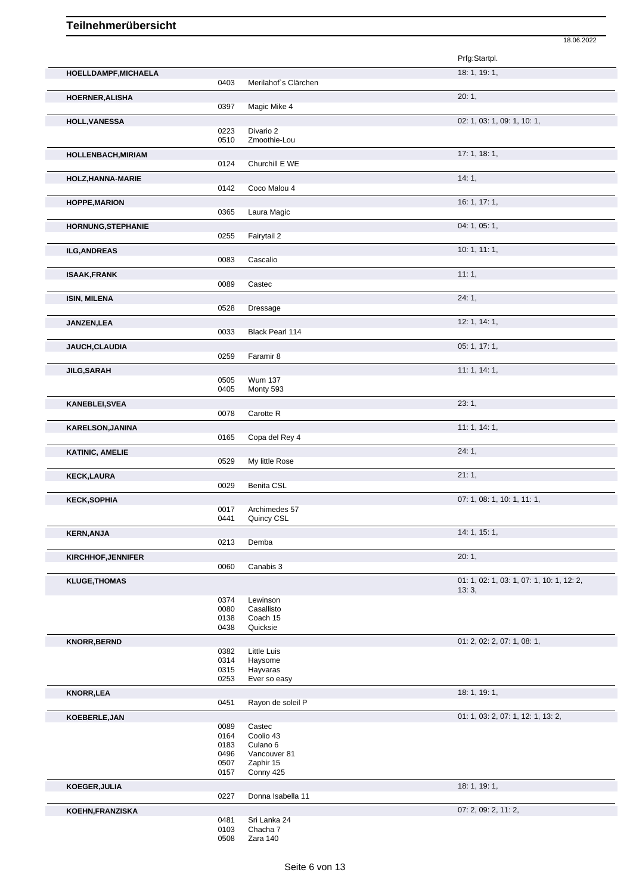|                         |              |                          | 18.06.2022                                         |
|-------------------------|--------------|--------------------------|----------------------------------------------------|
|                         |              |                          | Prfg:Startpl.                                      |
| HOELLDAMPF, MICHAELA    |              |                          | 18: 1, 19: 1,                                      |
|                         | 0403         | Merilahof's Clärchen     |                                                    |
| HOERNER, ALISHA         | 0397         | Magic Mike 4             | 20:1,                                              |
| <b>HOLL, VANESSA</b>    |              |                          | 02: 1, 03: 1, 09: 1, 10: 1,                        |
|                         | 0223         | Divario 2                |                                                    |
|                         | 0510         | Zmoothie-Lou             |                                                    |
| HOLLENBACH, MIRIAM      |              |                          | 17:1, 18:1,                                        |
|                         | 0124         | Churchill E WE           |                                                    |
| HOLZ, HANNA-MARIE       |              |                          | 14:1,                                              |
|                         | 0142         | Coco Malou 4             |                                                    |
| <b>HOPPE, MARION</b>    |              |                          | 16: 1, 17: 1,                                      |
|                         | 0365         | Laura Magic              |                                                    |
| HORNUNG, STEPHANIE      | 0255         | Fairytail 2              | 04: 1, 05: 1,                                      |
|                         |              |                          |                                                    |
| <b>ILG, ANDREAS</b>     | 0083         | Cascalio                 | 10: 1, 11: 1,                                      |
|                         |              |                          | 11:1,                                              |
| <b>ISAAK,FRANK</b>      | 0089         | Castec                   |                                                    |
| <b>ISIN, MILENA</b>     |              |                          | 24:1,                                              |
|                         | 0528         | Dressage                 |                                                    |
| JANZEN, LEA             |              |                          | 12: 1, 14: 1,                                      |
|                         | 0033         | Black Pearl 114          |                                                    |
| JAUCH, CLAUDIA          |              |                          | 05: 1, 17: 1,                                      |
|                         | 0259         | Faramir 8                |                                                    |
| <b>JILG, SARAH</b>      |              |                          | 11:1, 14:1,                                        |
|                         | 0505         | <b>Wum 137</b>           |                                                    |
|                         | 0405         | Monty 593                |                                                    |
| KANEBLEI, SVEA          | 0078         | Carotte R                | 23:1,                                              |
|                         |              |                          |                                                    |
| <b>KARELSON, JANINA</b> | 0165         | Copa del Rey 4           | 11: 1, 14: 1,                                      |
|                         |              |                          | 24:1,                                              |
| <b>KATINIC, AMELIE</b>  | 0529         | My little Rose           |                                                    |
| <b>KECK,LAURA</b>       |              |                          | 21:1,                                              |
|                         | 0029         | Benita CSL               |                                                    |
| <b>KECK,SOPHIA</b>      |              |                          | 07: 1, 08: 1, 10: 1, 11: 1,                        |
|                         | 0017         | Archimedes 57            |                                                    |
|                         | 0441         | Quincy CSL               |                                                    |
| <b>KERN, ANJA</b>       |              |                          | 14: 1, 15: 1,                                      |
|                         | 0213         | Demba                    |                                                    |
| KIRCHHOF, JENNIFER      |              |                          | 20:1,                                              |
|                         | 0060         | Canabis 3                |                                                    |
| <b>KLUGE, THOMAS</b>    |              |                          | 01: 1, 02: 1, 03: 1, 07: 1, 10: 1, 12: 2,<br>13:3, |
|                         | 0374         | Lewinson                 |                                                    |
|                         | 0080         | Casallisto               |                                                    |
|                         | 0138<br>0438 | Coach 15<br>Quicksie     |                                                    |
|                         |              |                          |                                                    |
| <b>KNORR, BERND</b>     | 0382         | Little Luis              | 01: 2, 02: 2, 07: 1, 08: 1,                        |
|                         | 0314         | Haysome                  |                                                    |
|                         | 0315         | Hayvaras                 |                                                    |
|                         | 0253         | Ever so easy             |                                                    |
| <b>KNORR, LEA</b>       |              |                          | 18: 1, 19: 1,                                      |
|                         | 0451         | Rayon de soleil P        |                                                    |
| KOEBERLE, JAN           |              |                          | 01: 1, 03: 2, 07: 1, 12: 1, 13: 2,                 |
|                         | 0089<br>0164 | Castec<br>Coolio 43      |                                                    |
|                         | 0183         | Culano <sub>6</sub>      |                                                    |
|                         | 0496         | Vancouver 81             |                                                    |
|                         | 0507         | Zaphir 15                |                                                    |
|                         | 0157         | Conny 425                |                                                    |
| KOEGER, JULIA           | 0227         | Donna Isabella 11        | 18: 1, 19: 1,                                      |
|                         |              |                          |                                                    |
|                         |              |                          |                                                    |
|                         |              |                          |                                                    |
|                         | 0508         | Zara 140                 |                                                    |
| KOEHN, FRANZISKA        | 0481<br>0103 | Sri Lanka 24<br>Chacha 7 | 07: 2, 09: 2, 11: 2,                               |

Seite 6 von 13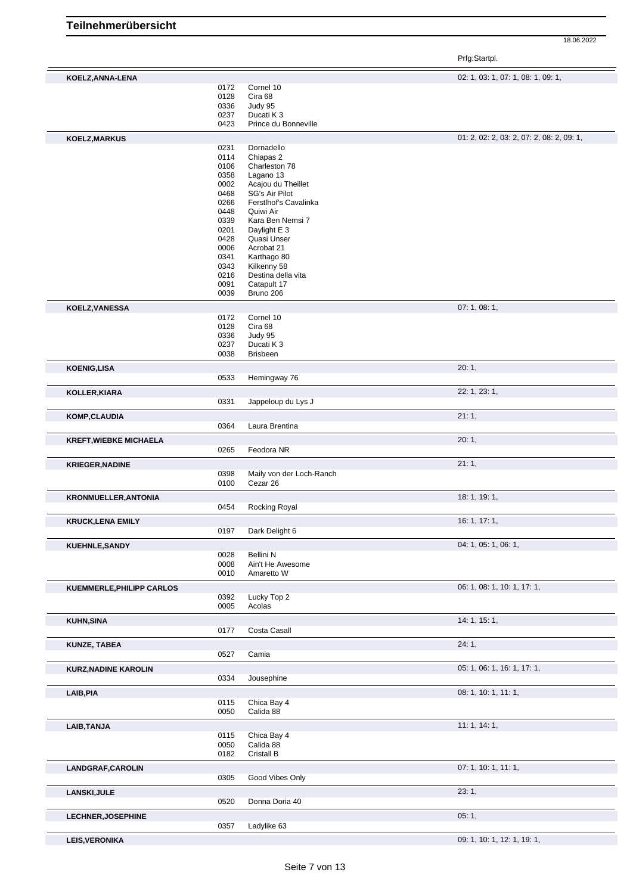|                                  |              |                                 | Prfg:Startpl.                             |
|----------------------------------|--------------|---------------------------------|-------------------------------------------|
| KOELZ, ANNA-LENA                 |              |                                 | 02: 1, 03: 1, 07: 1, 08: 1, 09: 1,        |
|                                  | 0172         | Cornel 10                       |                                           |
|                                  | 0128         | Cira 68                         |                                           |
|                                  | 0336         | Judy 95                         |                                           |
|                                  | 0237         | Ducati K 3                      |                                           |
|                                  | 0423         | Prince du Bonneville            |                                           |
| KOELZ, MARKUS                    |              |                                 | 01: 2, 02: 2, 03: 2, 07: 2, 08: 2, 09: 1, |
|                                  | 0231         | Dornadello                      |                                           |
|                                  | 0114         | Chiapas 2                       |                                           |
|                                  | 0106         | Charleston 78                   |                                           |
|                                  | 0358<br>0002 | Lagano 13<br>Acajou du Theillet |                                           |
|                                  | 0468         | SG's Air Pilot                  |                                           |
|                                  | 0266         | Ferstlhof's Cavalinka           |                                           |
|                                  | 0448         | Quiwi Air                       |                                           |
|                                  | 0339         | Kara Ben Nemsi 7                |                                           |
|                                  | 0201         | Daylight E 3                    |                                           |
|                                  | 0428         | Quasi Unser                     |                                           |
|                                  | 0006         | Acrobat 21                      |                                           |
|                                  | 0341         | Karthago 80                     |                                           |
|                                  | 0343         | Kilkenny 58                     |                                           |
|                                  | 0216         | Destina della vita              |                                           |
|                                  | 0091<br>0039 | Catapult 17<br>Bruno 206        |                                           |
| KOELZ, VANESSA                   |              |                                 | 07:1,08:1,                                |
|                                  | 0172         | Cornel 10                       |                                           |
|                                  | 0128         | Cira 68                         |                                           |
|                                  | 0336         | Judy 95                         |                                           |
|                                  | 0237         | Ducati K 3                      |                                           |
|                                  | 0038         | <b>Brisbeen</b>                 |                                           |
| <b>KOENIG,LISA</b>               | 0533         | Hemingway 76                    | 20:1,                                     |
|                                  |              |                                 |                                           |
| KOLLER, KIARA                    | 0331         | Jappeloup du Lys J              | 22: 1, 23: 1,                             |
|                                  |              |                                 |                                           |
| KOMP, CLAUDIA                    | 0364         | Laura Brentina                  | 21:1,                                     |
| <b>KREFT, WIEBKE MICHAELA</b>    |              |                                 | 20:1,                                     |
|                                  | 0265         | Feodora NR                      |                                           |
| <b>KRIEGER, NADINE</b>           |              |                                 | 21:1,                                     |
|                                  | 0398         | Maily von der Loch-Ranch        |                                           |
|                                  | 0100         | Cezar 26                        |                                           |
| <b>KRONMUELLER, ANTONIA</b>      |              |                                 | 18: 1, 19: 1,                             |
|                                  | 0454         | Rocking Royal                   |                                           |
| <b>KRUCK, LENA EMILY</b>         |              |                                 | 16: 1, 17: 1,                             |
|                                  | 0197         | Dark Delight 6                  |                                           |
| <b>KUEHNLE, SANDY</b>            | 0028         | Bellini N                       | 04: 1, 05: 1, 06: 1,                      |
|                                  | 0008         | Ain't He Awesome                |                                           |
|                                  | 0010         | Amaretto W                      |                                           |
| <b>KUEMMERLE, PHILIPP CARLOS</b> |              |                                 | 06: 1, 08: 1, 10: 1, 17: 1,               |
|                                  | 0392         | Lucky Top 2                     |                                           |
|                                  | 0005         | Acolas                          |                                           |
| <b>KUHN, SINA</b>                |              |                                 | 14: 1, 15: 1,                             |
|                                  | 0177         | Costa Casall                    |                                           |
| <b>KUNZE, TABEA</b>              |              |                                 | 24:1,                                     |
|                                  | 0527         | Camia                           |                                           |
| <b>KURZ, NADINE KAROLIN</b>      | 0334         | Jousephine                      | 05: 1, 06: 1, 16: 1, 17: 1,               |
|                                  |              |                                 |                                           |
| LAIB, PIA                        |              |                                 | 08: 1, 10: 1, 11: 1,                      |
|                                  | 0115<br>0050 | Chica Bay 4<br>Calida 88        |                                           |
|                                  |              |                                 | 11:1, 14:1,                               |
| LAIB, TANJA                      | 0115         | Chica Bay 4                     |                                           |
|                                  | 0050         | Calida 88                       |                                           |
|                                  | 0182         | Cristall B                      |                                           |
|                                  |              |                                 |                                           |
| LANDGRAF, CAROLIN                | 0305         | Good Vibes Only                 | 07: 1, 10: 1, 11: 1,                      |
|                                  |              |                                 |                                           |
| <b>LANSKI, JULE</b>              | 0520         | Donna Doria 40                  | 23:1,                                     |
|                                  |              |                                 |                                           |
| <b>LECHNER, JOSEPHINE</b>        | 0357         | Ladylike 63                     | 05:1,                                     |
|                                  |              |                                 |                                           |
| <b>LEIS, VERONIKA</b>            |              |                                 | 09: 1, 10: 1, 12: 1, 19: 1,               |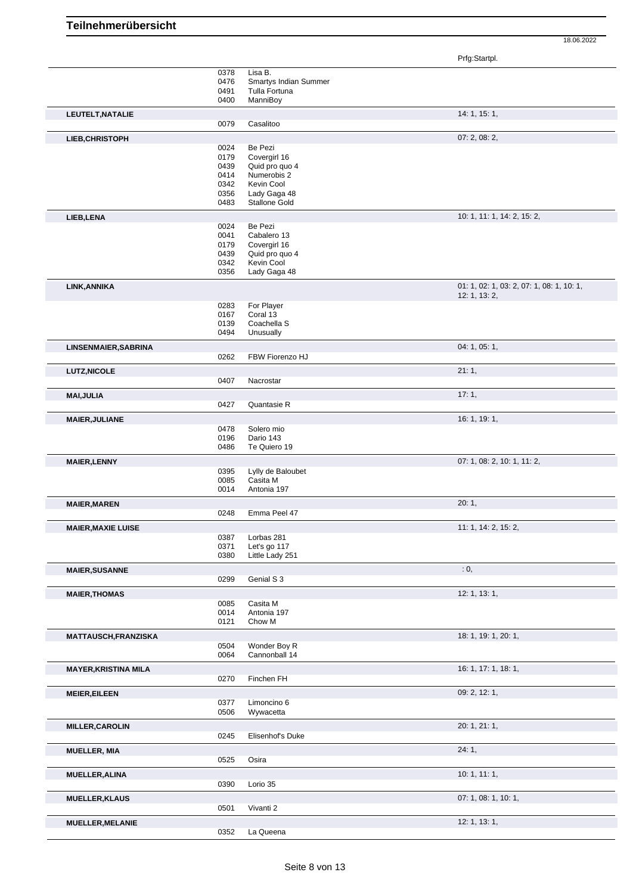Prfg:Startpl.

|                             |      | Lisa B.                      |                                           |
|-----------------------------|------|------------------------------|-------------------------------------------|
|                             | 0378 |                              |                                           |
|                             | 0476 | <b>Smartys Indian Summer</b> |                                           |
|                             | 0491 | Tulla Fortuna                |                                           |
|                             | 0400 | ManniBoy                     |                                           |
| LEUTELT, NATALIE            |      |                              | 14: 1, 15: 1,                             |
|                             | 0079 | Casalitoo                    |                                           |
|                             |      |                              |                                           |
| LIEB, CHRISTOPH             |      |                              | 07: 2, 08: 2,                             |
|                             | 0024 | Be Pezi                      |                                           |
|                             | 0179 | Covergirl 16                 |                                           |
|                             | 0439 | Quid pro quo 4               |                                           |
|                             | 0414 | Numerobis 2                  |                                           |
|                             | 0342 | Kevin Cool                   |                                           |
|                             | 0356 | Lady Gaga 48                 |                                           |
|                             | 0483 | Stallone Gold                |                                           |
|                             |      |                              |                                           |
| LIEB, LENA                  |      |                              | 10: 1, 11: 1, 14: 2, 15: 2,               |
|                             | 0024 | Be Pezi                      |                                           |
|                             | 0041 | Cabalero 13                  |                                           |
|                             | 0179 | Covergirl 16                 |                                           |
|                             | 0439 | Quid pro quo 4               |                                           |
|                             | 0342 | Kevin Cool                   |                                           |
|                             | 0356 | Lady Gaga 48                 |                                           |
|                             |      |                              | 01: 1, 02: 1, 03: 2, 07: 1, 08: 1, 10: 1, |
| LINK, ANNIKA                |      |                              |                                           |
|                             |      |                              | 12: 1, 13: 2,                             |
|                             | 0283 | For Player                   |                                           |
|                             | 0167 | Coral 13                     |                                           |
|                             | 0139 | Coachella S                  |                                           |
|                             | 0494 | Unusually                    |                                           |
| LINSENMAIER, SABRINA        |      |                              | 04: 1, 05: 1,                             |
|                             | 0262 | FBW Fiorenzo HJ              |                                           |
|                             |      |                              |                                           |
| <b>LUTZ, NICOLE</b>         |      |                              | 21:1,                                     |
|                             | 0407 | Nacrostar                    |                                           |
|                             |      |                              | 17:1,                                     |
| <b>MAI, JULIA</b>           |      |                              |                                           |
|                             | 0427 | Quantasie R                  |                                           |
| <b>MAIER, JULIANE</b>       |      |                              | 16: 1, 19: 1,                             |
|                             | 0478 | Solero mio                   |                                           |
|                             | 0196 | Dario 143                    |                                           |
|                             | 0486 | Te Quiero 19                 |                                           |
|                             |      |                              |                                           |
| <b>MAIER, LENNY</b>         |      |                              | 07: 1, 08: 2, 10: 1, 11: 2,               |
|                             | 0395 | Lylly de Baloubet            |                                           |
|                             | 0085 | Casita M                     |                                           |
|                             | 0014 | Antonia 197                  |                                           |
|                             |      |                              | 20:1,                                     |
| <b>MAIER, MAREN</b>         |      |                              |                                           |
|                             | 0248 | Emma Peel 47                 |                                           |
| <b>MAIER, MAXIE LUISE</b>   |      |                              | 11: 1, 14: 2, 15: 2,                      |
|                             | 0387 | Lorbas 281                   |                                           |
|                             | 0371 | Let's go 117                 |                                           |
|                             | 0380 | Little Lady 251              |                                           |
|                             |      |                              |                                           |
| <b>MAIER, SUSANNE</b>       |      |                              | : 0,                                      |
|                             | 0299 | Genial S 3                   |                                           |
| <b>MAIER, THOMAS</b>        |      |                              | 12: 1, 13: 1,                             |
|                             | 0085 | Casita M                     |                                           |
|                             |      | Antonia 197                  |                                           |
|                             | 0014 |                              |                                           |
|                             | 0121 | Chow M                       |                                           |
| <b>MATTAUSCH, FRANZISKA</b> |      |                              | 18: 1, 19: 1, 20: 1,                      |
|                             | 0504 | Wonder Boy R                 |                                           |
|                             | 0064 | Cannonball 14                |                                           |
|                             |      |                              |                                           |
| <b>MAYER, KRISTINA MILA</b> |      |                              | 16: 1, 17: 1, 18: 1,                      |
|                             | 0270 | Finchen FH                   |                                           |
| <b>MEIER, EILEEN</b>        |      |                              | 09: 2, 12: 1,                             |
|                             | 0377 | Limoncino 6                  |                                           |
|                             | 0506 | Wywacetta                    |                                           |
|                             |      |                              |                                           |
| <b>MILLER, CAROLIN</b>      |      |                              | 20: 1, 21: 1,                             |
|                             | 0245 | Elisenhof's Duke             |                                           |
|                             |      |                              | 24:1,                                     |
| <b>MUELLER, MIA</b>         |      |                              |                                           |
|                             | 0525 | Osira                        |                                           |
| <b>MUELLER, ALINA</b>       |      |                              | 10: 1, 11: 1,                             |
|                             | 0390 | Lorio 35                     |                                           |
|                             |      |                              |                                           |
| <b>MUELLER, KLAUS</b>       |      |                              | 07: 1, 08: 1, 10: 1,                      |
|                             | 0501 | Vivanti 2                    |                                           |
| <b>MUELLER, MELANIE</b>     |      |                              | 12: 1, 13: 1,                             |
|                             | 0352 | La Queena                    |                                           |
|                             |      |                              |                                           |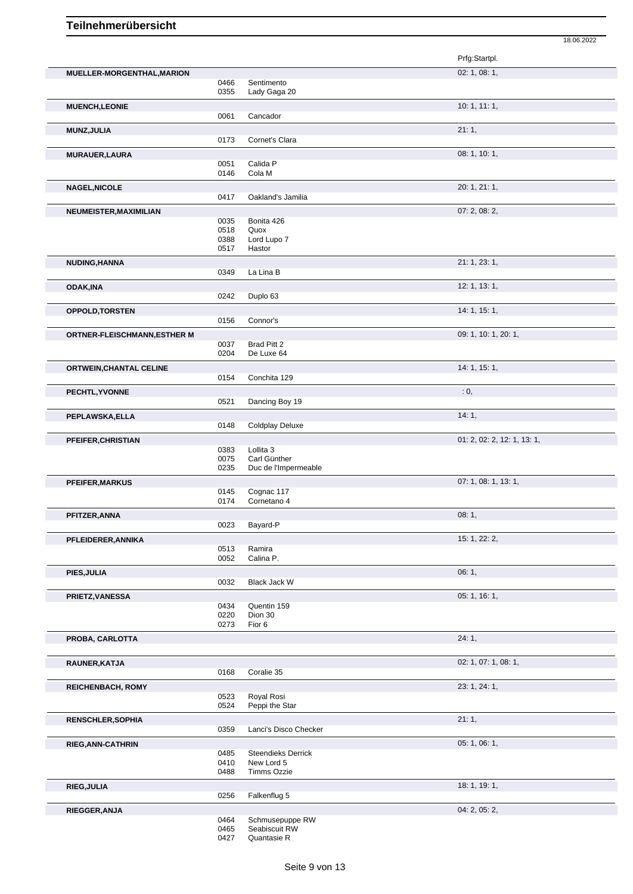|                                     |              |                           | Prfg:Startpl.               |
|-------------------------------------|--------------|---------------------------|-----------------------------|
| MUELLER-MORGENTHAL, MARION          |              |                           | 02: 1, 08: 1,               |
|                                     | 0466         | Sentimento                |                             |
|                                     | 0355         | Lady Gaga 20              |                             |
| <b>MUENCH,LEONIE</b>                |              |                           | 10: 1, 11: 1,               |
|                                     | 0061         | Cancador                  |                             |
| MUNZ, JULIA                         |              |                           | 21:1,                       |
|                                     | 0173         | Cornet's Clara            |                             |
| MURAUER, LAURA                      |              |                           | 08: 1, 10: 1,               |
|                                     | 0051         | Calida P                  |                             |
|                                     | 0146         | Cola M                    |                             |
| <b>NAGEL, NICOLE</b>                |              |                           | 20: 1, 21: 1,               |
|                                     | 0417         | Oakland's Jamilia         |                             |
| NEUMEISTER, MAXIMILIAN              |              |                           | 07: 2, 08: 2,               |
|                                     | 0035         | Bonita 426                |                             |
|                                     | 0518         | Quox                      |                             |
|                                     | 0388<br>0517 | Lord Lupo 7<br>Hastor     |                             |
|                                     |              |                           |                             |
| NUDING, HANNA                       | 0349         | La Lina B                 | 21: 1, 23: 1,               |
|                                     |              |                           |                             |
| <b>ODAK, INA</b>                    |              |                           | 12: 1, 13: 1,               |
|                                     | 0242         | Duplo 63                  |                             |
| OPPOLD, TORSTEN                     |              |                           | 14: 1, 15: 1,               |
|                                     | 0156         | Connor's                  |                             |
| <b>ORTNER-FLEISCHMANN, ESTHER M</b> |              |                           | 09: 1, 10: 1, 20: 1,        |
|                                     | 0037         | Brad Pitt 2               |                             |
|                                     | 0204         | De Luxe 64                |                             |
| ORTWEIN, CHANTAL CELINE             |              |                           | 14: 1, 15: 1,               |
|                                     | 0154         | Conchita 129              |                             |
| PECHTL, YVONNE                      |              |                           | : 0,                        |
|                                     | 0521         | Dancing Boy 19            |                             |
| PEPLAWSKA, ELLA                     |              |                           | 14:1,                       |
|                                     | 0148         | <b>Coldplay Deluxe</b>    |                             |
| PFEIFER, CHRISTIAN                  |              |                           | 01: 2, 02: 2, 12: 1, 13: 1, |
|                                     | 0383         | Lollita <sub>3</sub>      |                             |
|                                     | 0075         | Carl Günther              |                             |
|                                     | 0235         | Duc de l'Impermeable      |                             |
| PFEIFER, MARKUS                     |              |                           | 07: 1, 08: 1, 13: 1,        |
|                                     | 0145<br>0174 | Cognac 117<br>Cornetano 4 |                             |
|                                     |              |                           |                             |
| PFITZER, ANNA                       | 0023         | Bayard-P                  | 08:1,                       |
|                                     |              |                           |                             |
| PFLEIDERER, ANNIKA                  | 0513         | Ramira                    | 15: 1, 22: 2,               |
|                                     | 0052         | Calina P.                 |                             |
|                                     |              |                           | 06:1,                       |
| PIES, JULIA                         | 0032         | <b>Black Jack W</b>       |                             |
|                                     |              |                           |                             |
| PRIETZ, VANESSA                     | 0434         | Quentin 159               | 05: 1, 16: 1,               |
|                                     | 0220         | Dion 30                   |                             |
|                                     | 0273         | Fior 6                    |                             |
| PROBA, CARLOTTA                     |              |                           | 24:1,                       |
|                                     |              |                           |                             |
| RAUNER, KATJA                       |              |                           | 02: 1, 07: 1, 08: 1,        |
|                                     | 0168         | Coralie 35                |                             |
| <b>REICHENBACH, ROMY</b>            |              |                           | 23: 1, 24: 1,               |
|                                     | 0523         | Royal Rosi                |                             |
|                                     | 0524         | Peppi the Star            |                             |
| <b>RENSCHLER, SOPHIA</b>            |              |                           | 21:1,                       |
|                                     | 0359         | Lanci's Disco Checker     |                             |
| RIEG, ANN-CATHRIN                   |              |                           | 05: 1, 06: 1,               |
|                                     | 0485         | <b>Steendieks Derrick</b> |                             |
|                                     | 0410         | New Lord 5                |                             |
|                                     | 0488         | <b>Timms Ozzie</b>        |                             |
| RIEG, JULIA                         |              |                           | 18: 1, 19: 1,               |
|                                     | 0256         | Falkenflug 5              |                             |
| RIEGGER, ANJA                       |              |                           | 04: 2, 05: 2,               |
|                                     | 0464         | Schmusepuppe RW           |                             |
|                                     | 0465         | Seabiscuit RW             |                             |

<sup>0427</sup> Quantasie R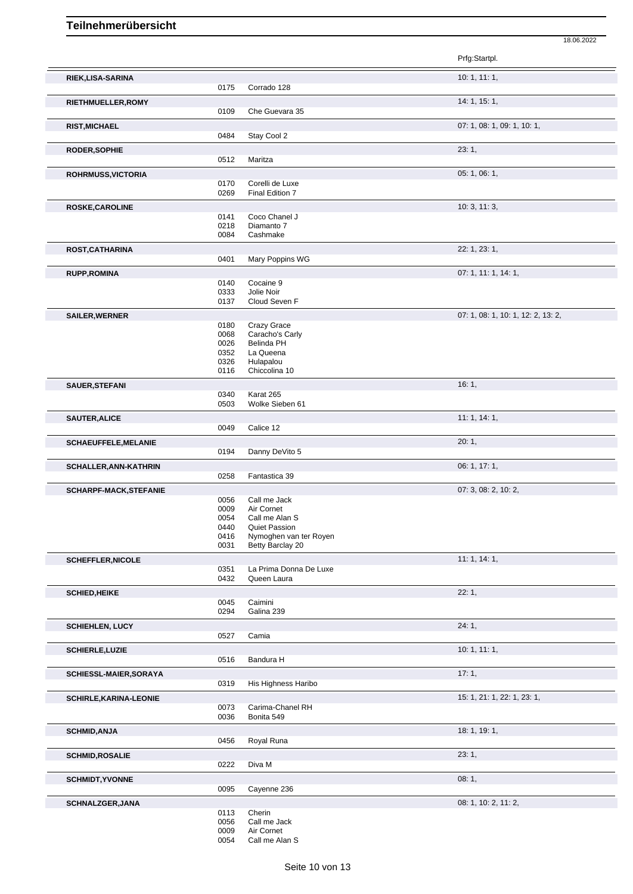18.06.2022 Prfg:Startpl. **RIEK,LISA-SARINA** 10: 1, 11: 1, Corrado 128 **RIETHMUELLER,ROMY 14: 1, 15: 1,** 0109 Che Guevara 35 **RIST,MICHAEL** 07: 1, 08: 1, 09: 1, 10: 1, 0484 Stay Cool 2 **RODER, SOPHIE** 23: 1, 0512 Maritza **ROHRMUSS, VICTORIA** 05: 1, 06: 1, 06: 1, 06: 1, 06: 1, 06: 1, 06: 1, 06: 1, 06: 1, 06: 1, 06: 1, 06: 1, 06: 1, 06: 1, 06: 1, 06: 1, 06: 1, 06: 1, 06: 1, 06: 1, 06: 1, 06: 1, 06: 1, 06: 1, 06: 1, 06: 1, 06: 1, 06: 1, 06: 1 0170 Corelli de Luxe 0269 Final Edition 7 **ROSKE,CAROLINE** 10: 3, 11: 3, 0141 Coco Chanel J<br>0218 Diamanto 7 0218 Diamanto 7<br>0084 Cashmake Cashmake **ROST,CATHARINA** 22: 1, 23: 1, Mary Poppins WG **RUPP,ROMINA** 07: 1, 11: 1, 14: 1, 07: 1, 11: 1, 14: 1, 07: 1, 11: 1, 14: 1, 07: 1, 11: 1, 14: 1, 07: 1, 11: 1, 14: 1, 0140 Cocaine 9<br>0333 Jolie Noir 0333 Jolie Noir<br>0137 Cloud Sev Cloud Seven F **SAILER, WERNER** 0180 Crazy Grace 0180 Crazy Grace 0180 Crazy Grace 0180 Crazy Grace 0180 Crazy Grace 0180 Crazy Grace 0180 Crazy Grace 0180 Crazy Grace 0180 Crazy Grace 0180 Crazy Grace 0180 Crazy Grace 0180 Crazy Grace 0 0180 Crazy Grace

|                               | 0326<br>0116 | Hulapalou<br>Chiccolina 10                     |                             |
|-------------------------------|--------------|------------------------------------------------|-----------------------------|
| SAUER, STEFANI                |              |                                                | 16:1,                       |
|                               | 0340         | Karat 265                                      |                             |
|                               | 0503         | Wolke Sieben 61                                |                             |
| <b>SAUTER, ALICE</b>          |              |                                                | 11: 1, 14: 1,               |
|                               | 0049         | Calice 12                                      |                             |
| <b>SCHAEUFFELE, MELANIE</b>   |              |                                                | 20:1,                       |
|                               | 0194         | Danny DeVito 5                                 |                             |
| <b>SCHALLER, ANN-KATHRIN</b>  |              |                                                | 06: 1, 17: 1,               |
|                               | 0258         | Fantastica 39                                  |                             |
| <b>SCHARPF-MACK, STEFANIE</b> |              |                                                | 07: 3, 08: 2, 10: 2,        |
|                               | 0056         | Call me Jack                                   |                             |
|                               | 0009         | Air Cornet                                     |                             |
|                               | 0054         | Call me Alan S                                 |                             |
|                               | 0440<br>0416 | <b>Quiet Passion</b><br>Nymoghen van ter Royen |                             |
|                               | 0031         | Betty Barclay 20                               |                             |
| <b>SCHEFFLER, NICOLE</b>      |              |                                                | 11: 1, 14: 1,               |
|                               | 0351         | La Prima Donna De Luxe                         |                             |
|                               | 0432         | Queen Laura                                    |                             |
| <b>SCHIED, HEIKE</b>          |              |                                                | 22:1,                       |
|                               | 0045         | Caimini                                        |                             |
|                               | 0294         | Galina 239                                     |                             |
| <b>SCHIEHLEN, LUCY</b>        |              |                                                | 24:1,                       |
|                               | 0527         | Camia                                          |                             |
| <b>SCHIERLE, LUZIE</b>        |              |                                                | 10: 1, 11: 1,               |
|                               | 0516         | Bandura H                                      |                             |
| SCHIESSL-MAIER, SORAYA        |              |                                                | 17:1,                       |
|                               | 0319         | His Highness Haribo                            |                             |
| <b>SCHIRLE, KARINA-LEONIE</b> |              |                                                | 15: 1, 21: 1, 22: 1, 23: 1, |
|                               | 0073         | Carima-Chanel RH                               |                             |
|                               | 0036         | Bonita 549                                     |                             |
| <b>SCHMID, ANJA</b>           |              |                                                | 18: 1, 19: 1,               |
|                               | 0456         | Royal Runa                                     |                             |
| <b>SCHMID, ROSALIE</b>        |              |                                                | 23:1,                       |
|                               | 0222         | Diva M                                         |                             |
| <b>SCHMIDT, YVONNE</b>        |              |                                                | 08:1,                       |
|                               | 0095         | Cayenne 236                                    |                             |
| SCHNALZGER, JANA              |              |                                                | 08: 1, 10: 2, 11: 2,        |
|                               | 0113         | Cherin                                         |                             |
|                               | 0056         | Call me Jack                                   |                             |
|                               | nnna.        | Air Constant                                   |                             |

0068 Caracho's Carly

0026 Belinda PH<br>0352 La Queena La Queena

0009 Air Cornet<br>0054 Call me A

Call me Alan S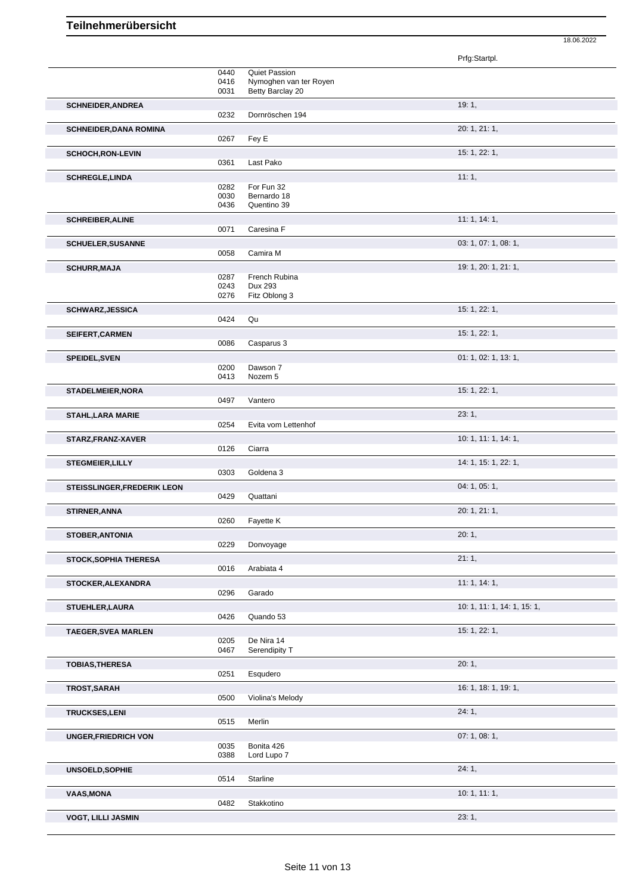|                               |              |                          | Prfg:Startpl.               |  |
|-------------------------------|--------------|--------------------------|-----------------------------|--|
|                               | 0440         | <b>Quiet Passion</b>     |                             |  |
|                               | 0416         | Nymoghen van ter Royen   |                             |  |
|                               | 0031         | Betty Barclay 20         |                             |  |
| <b>SCHNEIDER, ANDREA</b>      |              |                          | 19:1,                       |  |
|                               | 0232         | Dornröschen 194          |                             |  |
|                               |              |                          |                             |  |
| <b>SCHNEIDER, DANA ROMINA</b> |              |                          | 20: 1, 21: 1,               |  |
|                               | 0267         | Fey E                    |                             |  |
| SCHOCH, RON-LEVIN             |              |                          | 15: 1, 22: 1,               |  |
|                               | 0361         | Last Pako                |                             |  |
|                               |              |                          |                             |  |
| <b>SCHREGLE, LINDA</b>        | 0282         | For Fun 32               | 11:1,                       |  |
|                               | 0030         | Bernardo 18              |                             |  |
|                               | 0436         | Quentino 39              |                             |  |
|                               |              |                          |                             |  |
| <b>SCHREIBER, ALINE</b>       |              |                          | 11:1, 14:1,                 |  |
|                               | 0071         | Caresina F               |                             |  |
| <b>SCHUELER, SUSANNE</b>      |              |                          | 03: 1, 07: 1, 08: 1,        |  |
|                               | 0058         | Camira M                 |                             |  |
|                               |              |                          |                             |  |
| <b>SCHURR, MAJA</b>           |              |                          | 19: 1, 20: 1, 21: 1,        |  |
|                               | 0287<br>0243 | French Rubina<br>Dux 293 |                             |  |
|                               | 0276         | Fitz Oblong 3            |                             |  |
|                               |              |                          |                             |  |
| <b>SCHWARZ, JESSICA</b>       |              |                          | 15: 1, 22: 1,               |  |
|                               | 0424         | Qu                       |                             |  |
| SEIFERT, CARMEN               |              |                          | 15: 1, 22: 1,               |  |
|                               | 0086         | Casparus 3               |                             |  |
|                               |              |                          |                             |  |
| <b>SPEIDEL, SVEN</b>          |              |                          | 01: 1, 02: 1, 13: 1,        |  |
|                               | 0200         | Dawson 7                 |                             |  |
|                               | 0413         | Nozem 5                  |                             |  |
| STADELMEIER, NORA             |              |                          | 15: 1, 22: 1,               |  |
|                               | 0497         | Vantero                  |                             |  |
|                               |              |                          |                             |  |
| <b>STAHL, LARA MARIE</b>      |              |                          | 23:1,                       |  |
|                               | 0254         | Evita vom Lettenhof      |                             |  |
| STARZ, FRANZ-XAVER            |              |                          | 10: 1, 11: 1, 14: 1,        |  |
|                               | 0126         | Ciarra                   |                             |  |
|                               |              |                          | 14: 1, 15: 1, 22: 1,        |  |
| <b>STEGMEIER, LILLY</b>       | 0303         | Goldena 3                |                             |  |
|                               |              |                          |                             |  |
| STEISSLINGER, FREDERIK LEON   |              |                          | 04: 1, 05: 1,               |  |
|                               | 0429         | Quattani                 |                             |  |
| STIRNER, ANNA                 |              |                          | 20: 1, 21: 1,               |  |
|                               | 0260         | Fayette K                |                             |  |
|                               |              |                          |                             |  |
| <b>STOBER, ANTONIA</b>        |              |                          | 20:1,                       |  |
|                               | 0229         | Donvoyage                |                             |  |
| <b>STOCK, SOPHIA THERESA</b>  |              |                          | 21:1,                       |  |
|                               | 0016         | Arabiata 4               |                             |  |
|                               |              |                          |                             |  |
| STOCKER, ALEXANDRA            |              |                          | 11:1, 14:1,                 |  |
|                               | 0296         | Garado                   |                             |  |
| STUEHLER, LAURA               |              |                          | 10: 1, 11: 1, 14: 1, 15: 1, |  |
|                               | 0426         | Quando 53                |                             |  |
|                               |              |                          | 15: 1, 22: 1,               |  |
| <b>TAEGER, SVEA MARLEN</b>    | 0205         | De Nira 14               |                             |  |
|                               | 0467         | Serendipity T            |                             |  |
|                               |              |                          |                             |  |
| <b>TOBIAS, THERESA</b>        |              |                          | 20:1,                       |  |
|                               | 0251         | Esqudero                 |                             |  |
| TROST, SARAH                  |              |                          | 16: 1, 18: 1, 19: 1,        |  |
|                               | 0500         | Violina's Melody         |                             |  |
|                               |              |                          |                             |  |
| <b>TRUCKSES,LENI</b>          |              |                          | 24:1,                       |  |
|                               | 0515         | Merlin                   |                             |  |
| <b>UNGER, FRIEDRICH VON</b>   |              |                          | 07: 1, 08: 1,               |  |
|                               | 0035         | Bonita 426               |                             |  |
|                               | 0388         | Lord Lupo 7              |                             |  |
|                               |              |                          |                             |  |
| UNSOELD, SOPHIE               |              |                          | 24:1,                       |  |
|                               | 0514         | Starline                 |                             |  |
| <b>VAAS, MONA</b>             |              |                          | 10: 1, 11: 1,               |  |
|                               | 0482         | Stakkotino               |                             |  |
|                               |              |                          |                             |  |
| <b>VOGT, LILLI JASMIN</b>     |              |                          | 23:1,                       |  |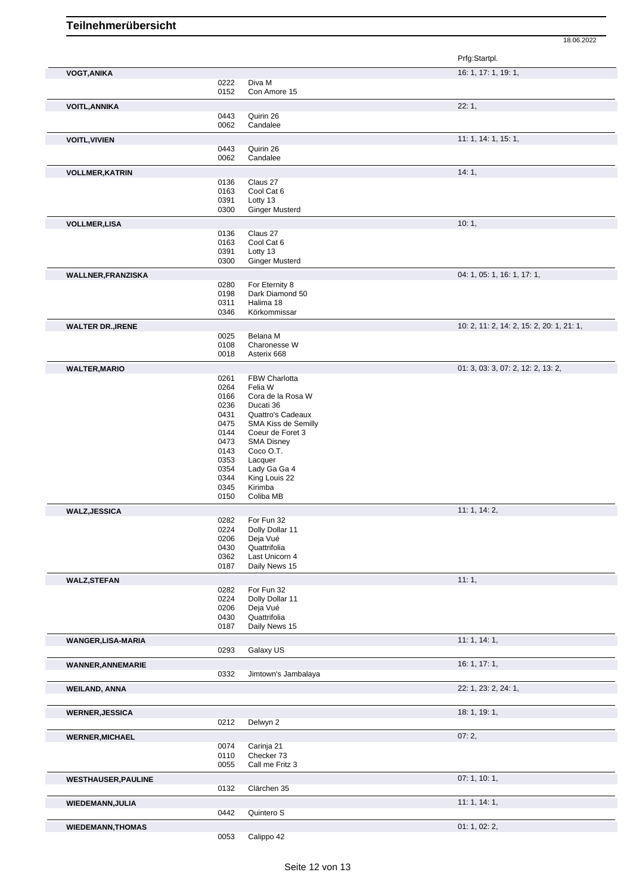|                            |      |                       | Prfg:Startpl.                             |
|----------------------------|------|-----------------------|-------------------------------------------|
| <b>VOGT, ANIKA</b>         |      |                       | 16: 1, 17: 1, 19: 1,                      |
|                            | 0222 | Diva M                |                                           |
|                            | 0152 | Con Amore 15          |                                           |
|                            |      |                       | 22:1,                                     |
| <b>VOITL, ANNIKA</b>       | 0443 | Quirin 26             |                                           |
|                            | 0062 | Candalee              |                                           |
|                            |      |                       |                                           |
| <b>VOITL, VIVIEN</b>       |      |                       | 11: 1, 14: 1, 15: 1,                      |
|                            | 0443 | Quirin 26             |                                           |
|                            | 0062 | Candalee              |                                           |
| <b>VOLLMER, KATRIN</b>     |      |                       | 14:1,                                     |
|                            | 0136 | Claus 27              |                                           |
|                            | 0163 | Cool Cat 6            |                                           |
|                            | 0391 | Lotty 13              |                                           |
|                            | 0300 | <b>Ginger Musterd</b> |                                           |
| <b>VOLLMER, LISA</b>       |      |                       | 10:1,                                     |
|                            | 0136 | Claus 27              |                                           |
|                            | 0163 | Cool Cat 6            |                                           |
|                            | 0391 | Lotty 13              |                                           |
|                            | 0300 | <b>Ginger Musterd</b> |                                           |
|                            |      |                       |                                           |
| <b>WALLNER, FRANZISKA</b>  |      |                       | 04: 1, 05: 1, 16: 1, 17: 1,               |
|                            | 0280 | For Eternity 8        |                                           |
|                            | 0198 | Dark Diamond 50       |                                           |
|                            | 0311 | Halima 18             |                                           |
|                            | 0346 | Körkommissar          |                                           |
| <b>WALTER DR., IRENE</b>   |      |                       | 10: 2, 11: 2, 14: 2, 15: 2, 20: 1, 21: 1, |
|                            | 0025 | Belana M              |                                           |
|                            | 0108 | Charonesse W          |                                           |
|                            | 0018 | Asterix 668           |                                           |
|                            |      |                       |                                           |
| <b>WALTER, MARIO</b>       |      |                       | 01: 3, 03: 3, 07: 2, 12: 2, 13: 2,        |
|                            | 0261 | FBW Charlotta         |                                           |
|                            | 0264 | Felia W               |                                           |
|                            | 0166 | Cora de la Rosa W     |                                           |
|                            | 0236 | Ducati 36             |                                           |
|                            | 0431 | Quattro's Cadeaux     |                                           |
|                            | 0475 | SMA Kiss de Semilly   |                                           |
|                            | 0144 | Coeur de Foret 3      |                                           |
|                            | 0473 | <b>SMA Disney</b>     |                                           |
|                            | 0143 | Coco O.T.             |                                           |
|                            | 0353 | Lacquer               |                                           |
|                            | 0354 | Lady Ga Ga 4          |                                           |
|                            | 0344 | King Louis 22         |                                           |
|                            | 0345 | Kirimba               |                                           |
|                            | 0150 | Coliba MB             |                                           |
| <b>WALZ, JESSICA</b>       |      |                       | 11: 1, 14: 2,                             |
|                            | 0282 | For Fun 32            |                                           |
|                            | 0224 | Dolly Dollar 11       |                                           |
|                            | 0206 | Deja Vué              |                                           |
|                            | 0430 | Quattrifolia          |                                           |
|                            | 0362 | Last Unicorn 4        |                                           |
|                            | 0187 | Daily News 15         |                                           |
| <b>WALZ, STEFAN</b>        |      |                       | 11:1,                                     |
|                            | 0282 | For Fun 32            |                                           |
|                            | 0224 | Dolly Dollar 11       |                                           |
|                            | 0206 | Deja Vué              |                                           |
|                            | 0430 | Quattrifolia          |                                           |
|                            | 0187 | Daily News 15         |                                           |
|                            |      |                       |                                           |
| WANGER, LISA-MARIA         |      |                       | 11:1, 14:1,                               |
|                            | 0293 | Galaxy US             |                                           |
|                            |      |                       | 16: 1, 17: 1,                             |
| <b>WANNER, ANNEMARIE</b>   | 0332 | Jimtown's Jambalaya   |                                           |
|                            |      |                       |                                           |
| <b>WEILAND, ANNA</b>       |      |                       | 22: 1, 23: 2, 24: 1,                      |
|                            |      |                       |                                           |
|                            |      |                       | 18: 1, 19: 1,                             |
| <b>WERNER, JESSICA</b>     | 0212 | Delwyn 2              |                                           |
|                            |      |                       |                                           |
| <b>WERNER, MICHAEL</b>     |      |                       | 07:2,                                     |
|                            | 0074 | Carinja 21            |                                           |
|                            | 0110 | Checker 73            |                                           |
|                            | 0055 | Call me Fritz 3       |                                           |
|                            |      |                       |                                           |
| <b>WESTHAUSER, PAULINE</b> |      |                       | 07:1, 10:1,                               |
|                            | 0132 | Clärchen 35           |                                           |
| <b>WIEDEMANN, JULIA</b>    |      |                       | 11:1, 14:1,                               |
|                            |      |                       |                                           |
|                            | 0442 |                       |                                           |
|                            |      | Quintero S            |                                           |
| <b>WIEDEMANN, THOMAS</b>   | 0053 | Calippo 42            | 01: 1, 02: 2,                             |